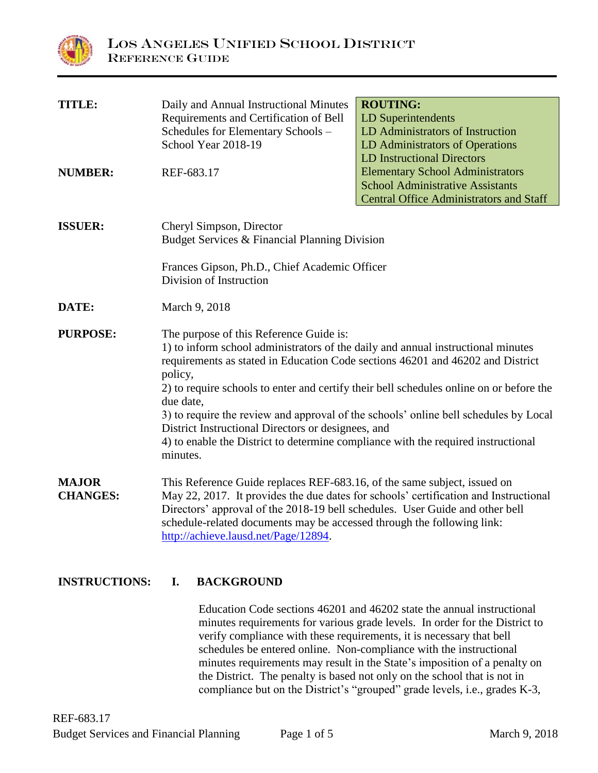

| <b>TITLE:</b>   | Daily and Annual Instructional Minutes                                                                                                                             | <b>ROUTING:</b>                                                                         |
|-----------------|--------------------------------------------------------------------------------------------------------------------------------------------------------------------|-----------------------------------------------------------------------------------------|
|                 | Requirements and Certification of Bell                                                                                                                             | <b>LD Superintendents</b>                                                               |
|                 | Schedules for Elementary Schools -                                                                                                                                 | LD Administrators of Instruction                                                        |
|                 | School Year 2018-19                                                                                                                                                | LD Administrators of Operations                                                         |
|                 |                                                                                                                                                                    | <b>LD Instructional Directors</b>                                                       |
| <b>NUMBER:</b>  | REF-683.17                                                                                                                                                         | <b>Elementary School Administrators</b>                                                 |
|                 |                                                                                                                                                                    | <b>School Administrative Assistants</b>                                                 |
|                 |                                                                                                                                                                    | <b>Central Office Administrators and Staff</b>                                          |
| <b>ISSUER:</b>  |                                                                                                                                                                    |                                                                                         |
|                 | Cheryl Simpson, Director                                                                                                                                           |                                                                                         |
|                 | Budget Services & Financial Planning Division                                                                                                                      |                                                                                         |
|                 | Frances Gipson, Ph.D., Chief Academic Officer                                                                                                                      |                                                                                         |
|                 | Division of Instruction                                                                                                                                            |                                                                                         |
| DATE:           | March 9, 2018                                                                                                                                                      |                                                                                         |
|                 |                                                                                                                                                                    |                                                                                         |
| <b>PURPOSE:</b> | The purpose of this Reference Guide is:                                                                                                                            |                                                                                         |
|                 | 1) to inform school administrators of the daily and annual instructional minutes<br>requirements as stated in Education Code sections 46201 and 46202 and District |                                                                                         |
|                 | policy,                                                                                                                                                            |                                                                                         |
|                 |                                                                                                                                                                    | 2) to require schools to enter and certify their bell schedules online on or before the |
|                 | due date,                                                                                                                                                          |                                                                                         |
|                 | District Instructional Directors or designees, and                                                                                                                 | 3) to require the review and approval of the schools' online bell schedules by Local    |
|                 | 4) to enable the District to determine compliance with the required instructional                                                                                  |                                                                                         |
|                 | minutes.                                                                                                                                                           |                                                                                         |
| <b>MAJOR</b>    | This Reference Guide replaces REF-683.16, of the same subject, issued on                                                                                           |                                                                                         |
| <b>CHANGES:</b> |                                                                                                                                                                    | May 22, 2017. It provides the due dates for schools' certification and Instructional    |
|                 | Directors' approval of the 2018-19 bell schedules. User Guide and other bell                                                                                       |                                                                                         |
|                 | schedule-related documents may be accessed through the following link:                                                                                             |                                                                                         |
|                 | http://achieve.lausd.net/Page/12894.                                                                                                                               |                                                                                         |

**INSTRUCTIONS: I. BACKGROUND**

Education Code sections 46201 and 46202 state the annual instructional minutes requirements for various grade levels. In order for the District to verify compliance with these requirements, it is necessary that bell schedules be entered online. Non-compliance with the instructional minutes requirements may result in the State's imposition of a penalty on the District. The penalty is based not only on the school that is not in compliance but on the District's "grouped" grade levels, i.e., grades K-3,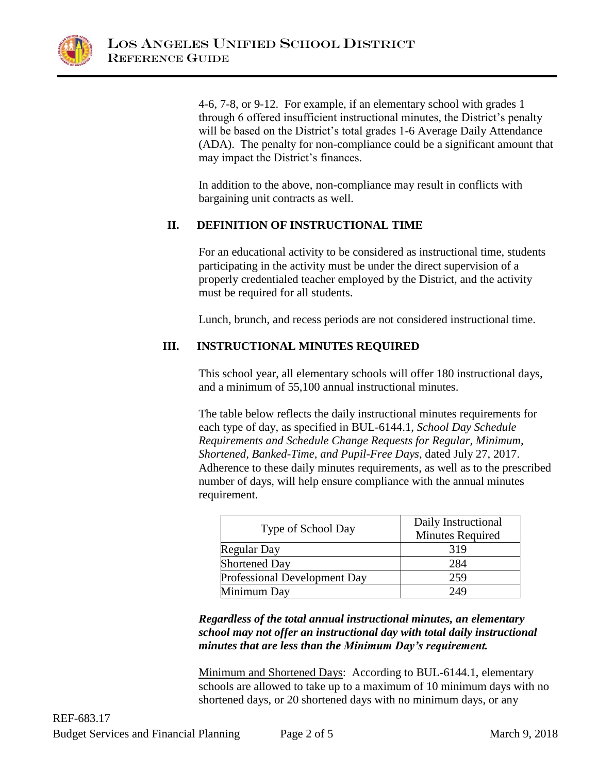

4-6, 7-8, or 9-12. For example, if an elementary school with grades 1 through 6 offered insufficient instructional minutes, the District's penalty will be based on the District's total grades 1-6 Average Daily Attendance (ADA). The penalty for non-compliance could be a significant amount that may impact the District's finances.

In addition to the above, non-compliance may result in conflicts with bargaining unit contracts as well.

# **II. DEFINITION OF INSTRUCTIONAL TIME**

For an educational activity to be considered as instructional time, students participating in the activity must be under the direct supervision of a properly credentialed teacher employed by the District, and the activity must be required for all students.

Lunch, brunch, and recess periods are not considered instructional time.

# **III. INSTRUCTIONAL MINUTES REQUIRED**

This school year, all elementary schools will offer 180 instructional days, and a minimum of 55,100 annual instructional minutes.

The table below reflects the daily instructional minutes requirements for each type of day, as specified in BUL-6144.1, *School Day Schedule Requirements and Schedule Change Requests for Regular, Minimum, Shortened, Banked-Time, and Pupil-Free Days*, dated July 27, 2017. Adherence to these daily minutes requirements, as well as to the prescribed number of days, will help ensure compliance with the annual minutes requirement.

|                                     | Daily Instructional     |
|-------------------------------------|-------------------------|
| Type of School Day                  | <b>Minutes Required</b> |
| <b>Regular Day</b>                  | 319                     |
| <b>Shortened Day</b>                | 284                     |
| <b>Professional Development Day</b> | 259                     |
| Minimum Day                         | 249                     |

*Regardless of the total annual instructional minutes, an elementary school may not offer an instructional day with total daily instructional minutes that are less than the Minimum Day's requirement.*

Minimum and Shortened Days: According to BUL-6144.1, elementary schools are allowed to take up to a maximum of 10 minimum days with no shortened days, or 20 shortened days with no minimum days, or any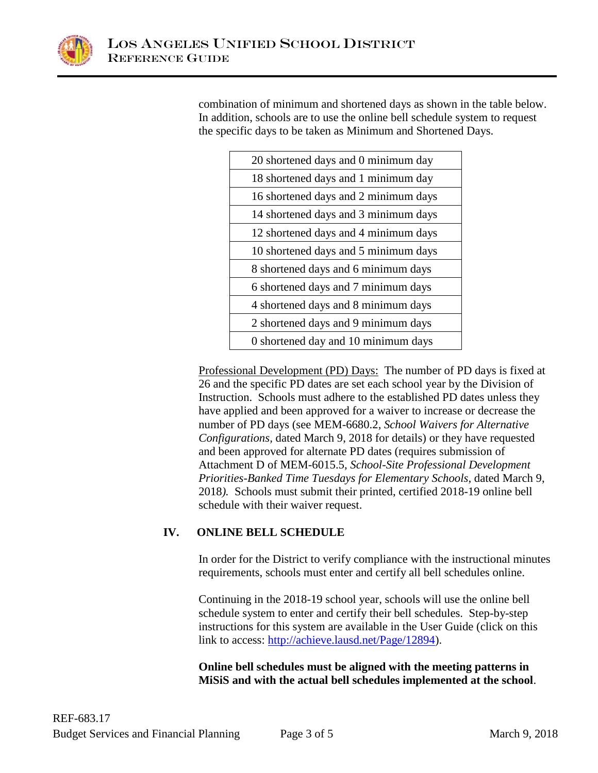

combination of minimum and shortened days as shown in the table below. In addition, schools are to use the online bell schedule system to request the specific days to be taken as Minimum and Shortened Days.

| 20 shortened days and 0 minimum day  |
|--------------------------------------|
| 18 shortened days and 1 minimum day  |
| 16 shortened days and 2 minimum days |
| 14 shortened days and 3 minimum days |
| 12 shortened days and 4 minimum days |
| 10 shortened days and 5 minimum days |
| 8 shortened days and 6 minimum days  |
| 6 shortened days and 7 minimum days  |
| 4 shortened days and 8 minimum days  |
| 2 shortened days and 9 minimum days  |
| 0 shortened day and 10 minimum days  |

Professional Development (PD) Days: The number of PD days is fixed at 26 and the specific PD dates are set each school year by the Division of Instruction. Schools must adhere to the established PD dates unless they have applied and been approved for a waiver to increase or decrease the number of PD days (see MEM-6680.2, *School Waivers for Alternative Configurations,* dated March 9, 2018 for details) or they have requested and been approved for alternate PD dates (requires submission of Attachment D of MEM-6015.5, *School-Site Professional Development Priorities-Banked Time Tuesdays for Elementary Schools*, dated March 9, 2018*).* Schools must submit their printed, certified 2018-19 online bell schedule with their waiver request.

# **IV. ONLINE BELL SCHEDULE**

In order for the District to verify compliance with the instructional minutes requirements, schools must enter and certify all bell schedules online.

Continuing in the 2018-19 school year, schools will use the online bell schedule system to enter and certify their bell schedules. Step-by-step instructions for this system are available in the User Guide (click on this link to access: [http://achieve.lausd.net/Page/12894\)](http://achieve.lausd.net/Page/12894).

**Online bell schedules must be aligned with the meeting patterns in MiSiS and with the actual bell schedules implemented at the school**.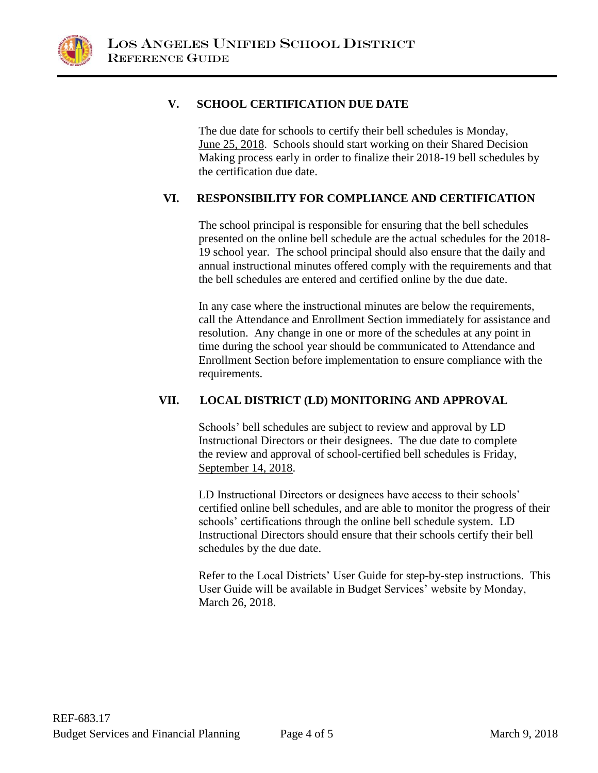

### **V. SCHOOL CERTIFICATION DUE DATE**

The due date for schools to certify their bell schedules is Monday, June 25, 2018. Schools should start working on their Shared Decision Making process early in order to finalize their 2018-19 bell schedules by the certification due date.

### **VI. RESPONSIBILITY FOR COMPLIANCE AND CERTIFICATION**

The school principal is responsible for ensuring that the bell schedules presented on the online bell schedule are the actual schedules for the 2018- 19 school year. The school principal should also ensure that the daily and annual instructional minutes offered comply with the requirements and that the bell schedules are entered and certified online by the due date.

In any case where the instructional minutes are below the requirements, call the Attendance and Enrollment Section immediately for assistance and resolution. Any change in one or more of the schedules at any point in time during the school year should be communicated to Attendance and Enrollment Section before implementation to ensure compliance with the requirements.

### **VII. LOCAL DISTRICT (LD) MONITORING AND APPROVAL**

Schools' bell schedules are subject to review and approval by LD Instructional Directors or their designees. The due date to complete the review and approval of school-certified bell schedules is Friday, September 14, 2018.

LD Instructional Directors or designees have access to their schools' certified online bell schedules, and are able to monitor the progress of their schools' certifications through the online bell schedule system. LD Instructional Directors should ensure that their schools certify their bell schedules by the due date.

Refer to the Local Districts' User Guide for step-by-step instructions. This User Guide will be available in Budget Services' website by Monday, March 26, 2018.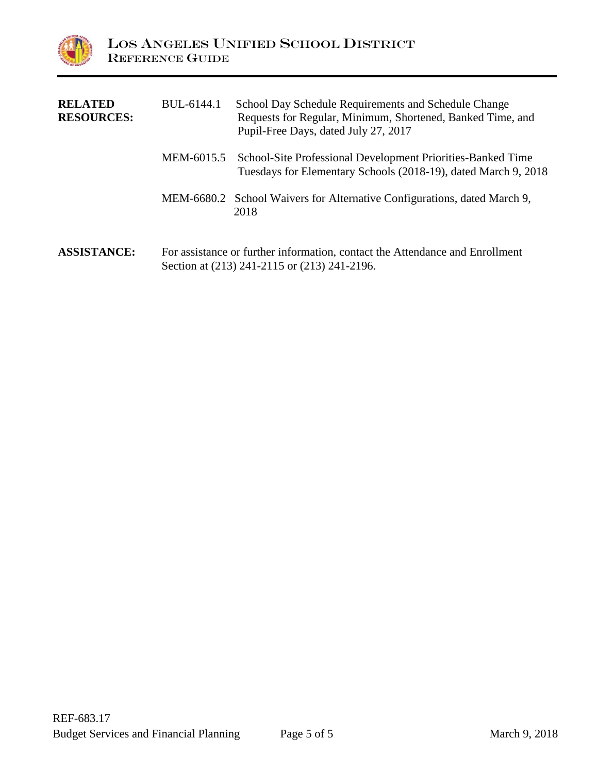

| <b>RELATED</b><br><b>RESOURCES:</b> | BUL-6144.1 | School Day Schedule Requirements and Schedule Change<br>Requests for Regular, Minimum, Shortened, Banked Time, and<br>Pupil-Free Days, dated July 27, 2017 |
|-------------------------------------|------------|------------------------------------------------------------------------------------------------------------------------------------------------------------|
|                                     |            | MEM-6015.5 School-Site Professional Development Priorities-Banked Time<br>Tuesdays for Elementary Schools (2018-19), dated March 9, 2018                   |
|                                     |            | MEM-6680.2 School Waivers for Alternative Configurations, dated March 9,<br>2018                                                                           |
| <b>ASSISTANCE:</b>                  |            | For assistance or further information, contact the Attendance and Enrollment<br>Section at (213) 241-2115 or (213) 241-2196.                               |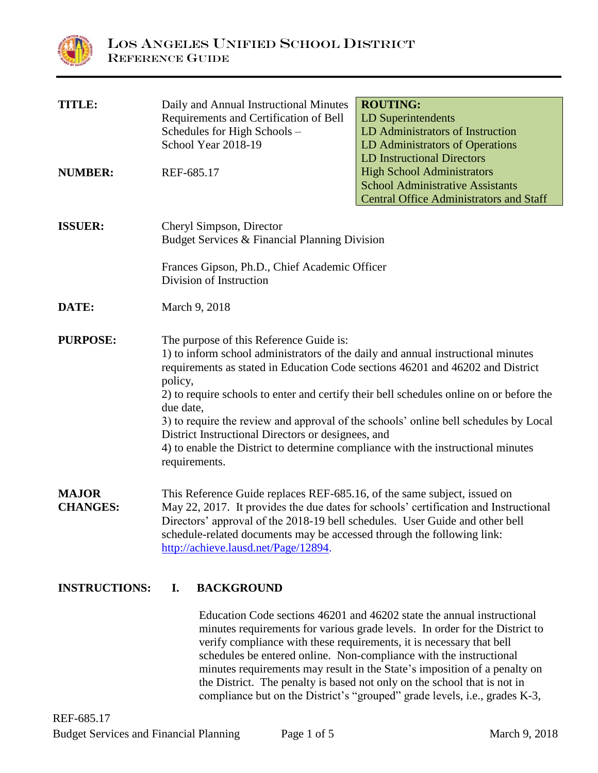

| <b>TITLE:</b>                   | Daily and Annual Instructional Minutes<br>Requirements and Certification of Bell<br>Schedules for High Schools -<br>School Year 2018-19                                                                                                                                                                                                                                                          | <b>ROUTING:</b><br><b>LD Superintendents</b><br>LD Administrators of Instruction<br>LD Administrators of Operations<br><b>LD Instructional Directors</b>                        |
|---------------------------------|--------------------------------------------------------------------------------------------------------------------------------------------------------------------------------------------------------------------------------------------------------------------------------------------------------------------------------------------------------------------------------------------------|---------------------------------------------------------------------------------------------------------------------------------------------------------------------------------|
| <b>NUMBER:</b>                  | REF-685.17                                                                                                                                                                                                                                                                                                                                                                                       | <b>High School Administrators</b><br><b>School Administrative Assistants</b><br><b>Central Office Administrators and Staff</b>                                                  |
| <b>ISSUER:</b>                  | Cheryl Simpson, Director<br>Budget Services & Financial Planning Division<br>Frances Gipson, Ph.D., Chief Academic Officer<br>Division of Instruction                                                                                                                                                                                                                                            |                                                                                                                                                                                 |
| DATE:                           | March 9, 2018                                                                                                                                                                                                                                                                                                                                                                                    |                                                                                                                                                                                 |
| <b>PURPOSE:</b>                 | The purpose of this Reference Guide is:<br>1) to inform school administrators of the daily and annual instructional minutes<br>requirements as stated in Education Code sections 46201 and 46202 and District<br>policy,<br>due date,<br>District Instructional Directors or designees, and<br>4) to enable the District to determine compliance with the instructional minutes<br>requirements. | 2) to require schools to enter and certify their bell schedules online on or before the<br>3) to require the review and approval of the schools' online bell schedules by Local |
| <b>MAJOR</b><br><b>CHANGES:</b> | This Reference Guide replaces REF-685.16, of the same subject, issued on<br>May 22, 2017. It provides the due dates for schools' certification and Instructional<br>Directors' approval of the 2018-19 bell schedules. User Guide and other bell<br>schedule-related documents may be accessed through the following link:<br>http://achieve.lausd.net/Page/12894.                               |                                                                                                                                                                                 |

# **INSTRUCTIONS: I. BACKGROUND**

Education Code sections 46201 and 46202 state the annual instructional minutes requirements for various grade levels. In order for the District to verify compliance with these requirements, it is necessary that bell schedules be entered online. Non-compliance with the instructional minutes requirements may result in the State's imposition of a penalty on the District. The penalty is based not only on the school that is not in compliance but on the District's "grouped" grade levels, i.e., grades K-3,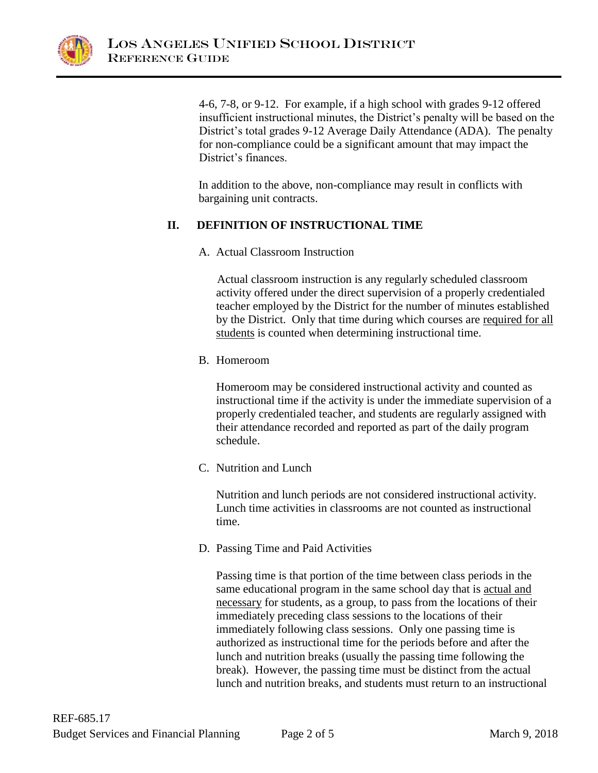

4-6, 7-8, or 9-12. For example, if a high school with grades 9-12 offered insufficient instructional minutes, the District's penalty will be based on the District's total grades 9-12 Average Daily Attendance (ADA). The penalty for non-compliance could be a significant amount that may impact the District's finances.

In addition to the above, non-compliance may result in conflicts with bargaining unit contracts.

### **II. DEFINITION OF INSTRUCTIONAL TIME**

A. Actual Classroom Instruction

Actual classroom instruction is any regularly scheduled classroom activity offered under the direct supervision of a properly credentialed teacher employed by the District for the number of minutes established by the District. Only that time during which courses are required for all students is counted when determining instructional time.

B. Homeroom

Homeroom may be considered instructional activity and counted as instructional time if the activity is under the immediate supervision of a properly credentialed teacher, and students are regularly assigned with their attendance recorded and reported as part of the daily program schedule.

C. Nutrition and Lunch

Nutrition and lunch periods are not considered instructional activity. Lunch time activities in classrooms are not counted as instructional time.

D. Passing Time and Paid Activities

Passing time is that portion of the time between class periods in the same educational program in the same school day that is actual and necessary for students, as a group, to pass from the locations of their immediately preceding class sessions to the locations of their immediately following class sessions. Only one passing time is authorized as instructional time for the periods before and after the lunch and nutrition breaks (usually the passing time following the break). However, the passing time must be distinct from the actual lunch and nutrition breaks, and students must return to an instructional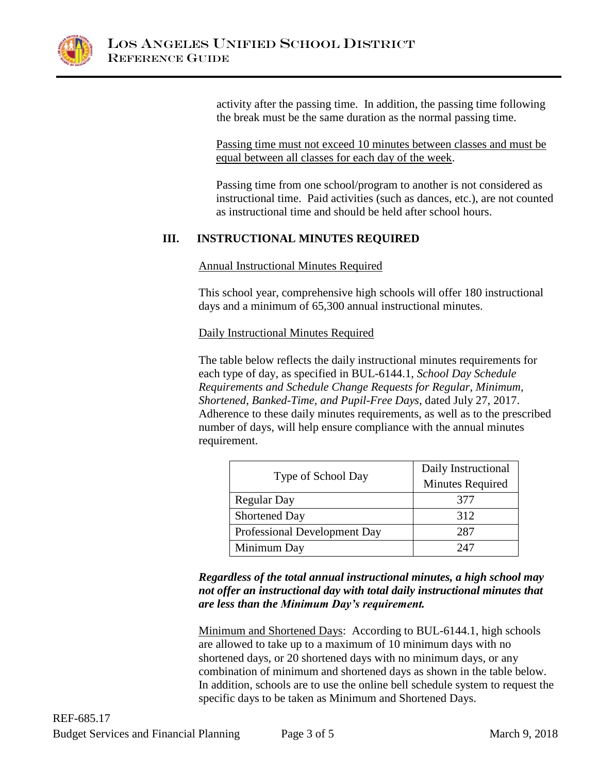

activity after the passing time. In addition, the passing time following the break must be the same duration as the normal passing time.

Passing time must not exceed 10 minutes between classes and must be equal between all classes for each day of the week.

Passing time from one school/program to another is not considered as instructional time. Paid activities (such as dances, etc.), are not counted as instructional time and should be held after school hours.

### **III. INSTRUCTIONAL MINUTES REQUIRED**

### Annual Instructional Minutes Required

This school year, comprehensive high schools will offer 180 instructional days and a minimum of 65,300 annual instructional minutes.

### Daily Instructional Minutes Required

The table below reflects the daily instructional minutes requirements for each type of day, as specified in BUL-6144.1, *School Day Schedule Requirements and Schedule Change Requests for Regular, Minimum, Shortened, Banked-Time, and Pupil-Free Days*, dated July 27, 2017. Adherence to these daily minutes requirements, as well as to the prescribed number of days, will help ensure compliance with the annual minutes requirement.

|                              | Daily Instructional     |
|------------------------------|-------------------------|
| Type of School Day           | <b>Minutes Required</b> |
| <b>Regular Day</b>           | 377                     |
| <b>Shortened Day</b>         | 312                     |
| Professional Development Day | 287                     |
| Minimum Day                  | 247                     |

*Regardless of the total annual instructional minutes, a high school may not offer an instructional day with total daily instructional minutes that are less than the Minimum Day's requirement.*

Minimum and Shortened Days: According to BUL-6144.1, high schools are allowed to take up to a maximum of 10 minimum days with no shortened days, or 20 shortened days with no minimum days, or any combination of minimum and shortened days as shown in the table below. In addition, schools are to use the online bell schedule system to request the specific days to be taken as Minimum and Shortened Days.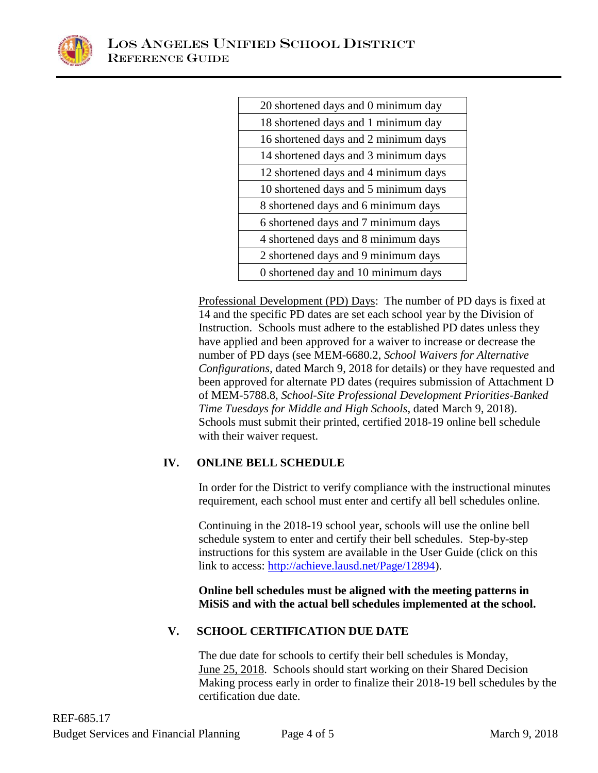

| 20 shortened days and 0 minimum day  |
|--------------------------------------|
| 18 shortened days and 1 minimum day  |
| 16 shortened days and 2 minimum days |
| 14 shortened days and 3 minimum days |
| 12 shortened days and 4 minimum days |
| 10 shortened days and 5 minimum days |
| 8 shortened days and 6 minimum days  |
| 6 shortened days and 7 minimum days  |
| 4 shortened days and 8 minimum days  |
| 2 shortened days and 9 minimum days  |
| 0 shortened day and 10 minimum days  |

Professional Development (PD) Days: The number of PD days is fixed at 14 and the specific PD dates are set each school year by the Division of Instruction. Schools must adhere to the established PD dates unless they have applied and been approved for a waiver to increase or decrease the number of PD days (see MEM-6680.2, *School Waivers for Alternative Configurations,* dated March 9, 2018 for details) or they have requested and been approved for alternate PD dates (requires submission of Attachment D of MEM-5788.8, *School-Site Professional Development Priorities-Banked Time Tuesdays for Middle and High Schools*, dated March 9, 2018). Schools must submit their printed, certified 2018-19 online bell schedule with their waiver request.

# **IV. ONLINE BELL SCHEDULE**

In order for the District to verify compliance with the instructional minutes requirement, each school must enter and certify all bell schedules online.

Continuing in the 2018-19 school year, schools will use the online bell schedule system to enter and certify their bell schedules. Step-by-step instructions for this system are available in the User Guide (click on this link to access: [http://achieve.lausd.net/Page/12894\)](http://achieve.lausd.net/Page/12894).

**Online bell schedules must be aligned with the meeting patterns in MiSiS and with the actual bell schedules implemented at the school.**

# **V. SCHOOL CERTIFICATION DUE DATE**

The due date for schools to certify their bell schedules is Monday, June 25, 2018. Schools should start working on their Shared Decision Making process early in order to finalize their 2018-19 bell schedules by the certification due date.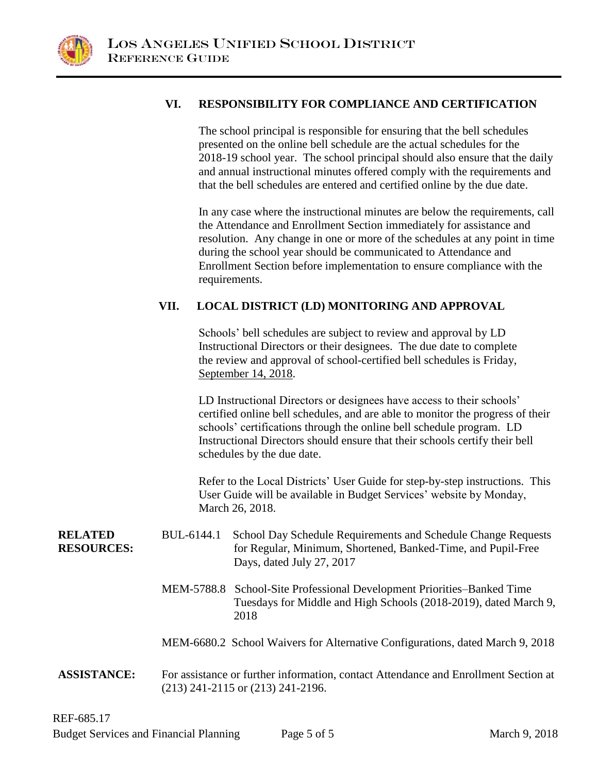

### **VI. RESPONSIBILITY FOR COMPLIANCE AND CERTIFICATION**

The school principal is responsible for ensuring that the bell schedules presented on the online bell schedule are the actual schedules for the 2018-19 school year. The school principal should also ensure that the daily and annual instructional minutes offered comply with the requirements and that the bell schedules are entered and certified online by the due date.

In any case where the instructional minutes are below the requirements, call the Attendance and Enrollment Section immediately for assistance and resolution. Any change in one or more of the schedules at any point in time during the school year should be communicated to Attendance and Enrollment Section before implementation to ensure compliance with the requirements.

### **VII. LOCAL DISTRICT (LD) MONITORING AND APPROVAL**

Schools' bell schedules are subject to review and approval by LD Instructional Directors or their designees. The due date to complete the review and approval of school-certified bell schedules is Friday, September 14, 2018.

LD Instructional Directors or designees have access to their schools' certified online bell schedules, and are able to monitor the progress of their schools' certifications through the online bell schedule program. LD Instructional Directors should ensure that their schools certify their bell schedules by the due date.

Refer to the Local Districts' User Guide for step-by-step instructions. This User Guide will be available in Budget Services' website by Monday, March 26, 2018.

**RELATED RESOURCES:** BUL-6144.1 School Day Schedule Requirements and Schedule Change Requests for Regular, Minimum, Shortened, Banked-Time, and Pupil-Free Days, dated July 27, 2017

- MEM-5788.8 School-Site Professional Development Priorities–Banked Time Tuesdays for Middle and High Schools (2018-2019), dated March 9, 2018
- MEM-6680.2 School Waivers for Alternative Configurations, dated March 9, 2018
- **ASSISTANCE:** For assistance or further information, contact Attendance and Enrollment Section at (213) 241-2115 or (213) 241-2196.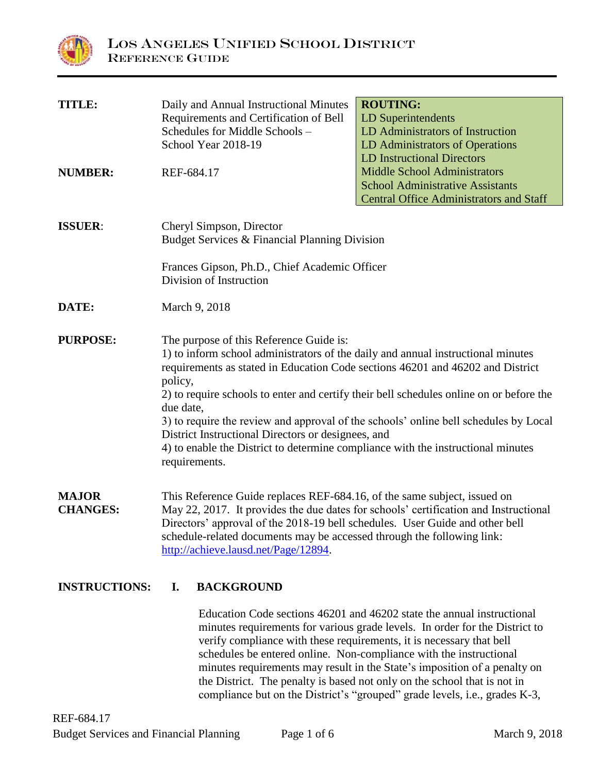

| <b>TITLE:</b>                   | Daily and Annual Instructional Minutes                                                    | <b>ROUTING:</b>                                                                      |
|---------------------------------|-------------------------------------------------------------------------------------------|--------------------------------------------------------------------------------------|
|                                 | Requirements and Certification of Bell                                                    | <b>LD Superintendents</b>                                                            |
|                                 | Schedules for Middle Schools -                                                            | LD Administrators of Instruction                                                     |
|                                 | School Year 2018-19                                                                       | LD Administrators of Operations                                                      |
|                                 |                                                                                           | <b>LD Instructional Directors</b>                                                    |
| <b>NUMBER:</b>                  | REF-684.17                                                                                | <b>Middle School Administrators</b>                                                  |
|                                 |                                                                                           | <b>School Administrative Assistants</b>                                              |
|                                 |                                                                                           | <b>Central Office Administrators and Staff</b>                                       |
| <b>ISSUER:</b>                  | Cheryl Simpson, Director                                                                  |                                                                                      |
|                                 | Budget Services & Financial Planning Division                                             |                                                                                      |
|                                 | Frances Gipson, Ph.D., Chief Academic Officer                                             |                                                                                      |
|                                 | Division of Instruction                                                                   |                                                                                      |
| DATE:                           | March 9, 2018                                                                             |                                                                                      |
| <b>PURPOSE:</b>                 | The purpose of this Reference Guide is:                                                   |                                                                                      |
|                                 | 1) to inform school administrators of the daily and annual instructional minutes          |                                                                                      |
|                                 | requirements as stated in Education Code sections 46201 and 46202 and District<br>policy, |                                                                                      |
|                                 | 2) to require schools to enter and certify their bell schedules online on or before the   |                                                                                      |
|                                 | due date,                                                                                 |                                                                                      |
|                                 | District Instructional Directors or designees, and                                        | 3) to require the review and approval of the schools' online bell schedules by Local |
|                                 | 4) to enable the District to determine compliance with the instructional minutes          |                                                                                      |
|                                 | requirements.                                                                             |                                                                                      |
|                                 |                                                                                           |                                                                                      |
| <b>MAJOR</b><br><b>CHANGES:</b> | This Reference Guide replaces REF-684.16, of the same subject, issued on                  |                                                                                      |
|                                 | Directors' approval of the 2018-19 bell schedules. User Guide and other bell              | May 22, 2017. It provides the due dates for schools' certification and Instructional |
|                                 | schedule-related documents may be accessed through the following link:                    |                                                                                      |
|                                 | http://achieve.lausd.net/Page/12894.                                                      |                                                                                      |

### **INSTRUCTIONS: I. BACKGROUND**

Education Code sections 46201 and 46202 state the annual instructional minutes requirements for various grade levels. In order for the District to verify compliance with these requirements, it is necessary that bell schedules be entered online. Non-compliance with the instructional minutes requirements may result in the State's imposition of a penalty on the District. The penalty is based not only on the school that is not in compliance but on the District's "grouped" grade levels, i.e., grades K-3,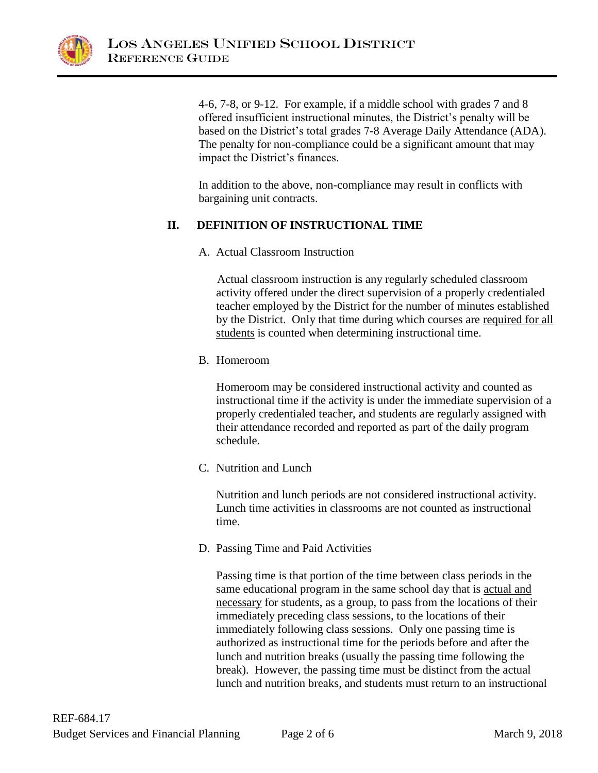

4-6, 7-8, or 9-12. For example, if a middle school with grades 7 and 8 offered insufficient instructional minutes, the District's penalty will be based on the District's total grades 7-8 Average Daily Attendance (ADA). The penalty for non-compliance could be a significant amount that may impact the District's finances.

In addition to the above, non-compliance may result in conflicts with bargaining unit contracts.

### **II. DEFINITION OF INSTRUCTIONAL TIME**

A. Actual Classroom Instruction

Actual classroom instruction is any regularly scheduled classroom activity offered under the direct supervision of a properly credentialed teacher employed by the District for the number of minutes established by the District. Only that time during which courses are required for all students is counted when determining instructional time.

B. Homeroom

Homeroom may be considered instructional activity and counted as instructional time if the activity is under the immediate supervision of a properly credentialed teacher, and students are regularly assigned with their attendance recorded and reported as part of the daily program schedule.

C. Nutrition and Lunch

Nutrition and lunch periods are not considered instructional activity. Lunch time activities in classrooms are not counted as instructional time.

D. Passing Time and Paid Activities

Passing time is that portion of the time between class periods in the same educational program in the same school day that is actual and necessary for students, as a group, to pass from the locations of their immediately preceding class sessions, to the locations of their immediately following class sessions. Only one passing time is authorized as instructional time for the periods before and after the lunch and nutrition breaks (usually the passing time following the break). However, the passing time must be distinct from the actual lunch and nutrition breaks, and students must return to an instructional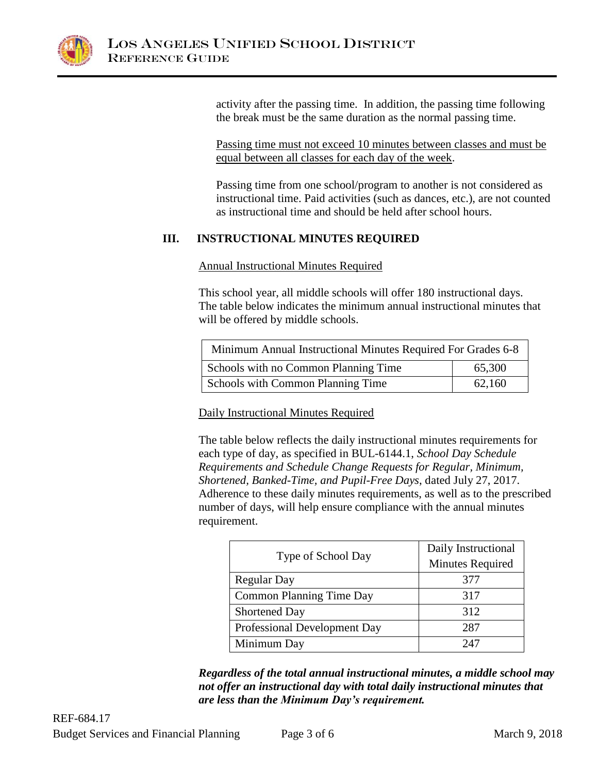

activity after the passing time. In addition, the passing time following the break must be the same duration as the normal passing time.

Passing time must not exceed 10 minutes between classes and must be equal between all classes for each day of the week.

Passing time from one school/program to another is not considered as instructional time. Paid activities (such as dances, etc.), are not counted as instructional time and should be held after school hours.

# **III. INSTRUCTIONAL MINUTES REQUIRED**

Annual Instructional Minutes Required

This school year, all middle schools will offer 180 instructional days. The table below indicates the minimum annual instructional minutes that will be offered by middle schools.

| Minimum Annual Instructional Minutes Required For Grades 6-8 |        |  |
|--------------------------------------------------------------|--------|--|
| Schools with no Common Planning Time                         | 65,300 |  |
| <b>Schools with Common Planning Time</b>                     | 62,160 |  |

Daily Instructional Minutes Required

The table below reflects the daily instructional minutes requirements for each type of day, as specified in BUL-6144.1, *School Day Schedule Requirements and Schedule Change Requests for Regular, Minimum, Shortened, Banked-Time, and Pupil-Free Days*, dated July 27, 2017. Adherence to these daily minutes requirements, as well as to the prescribed number of days, will help ensure compliance with the annual minutes requirement.

|                                 | Daily Instructional     |
|---------------------------------|-------------------------|
| Type of School Day              | <b>Minutes Required</b> |
| <b>Regular Day</b>              | 377                     |
| <b>Common Planning Time Day</b> | 317                     |
| <b>Shortened Day</b>            | 312                     |
| Professional Development Day    | 287                     |
| Minimum Day                     | 247                     |

*Regardless of the total annual instructional minutes, a middle school may not offer an instructional day with total daily instructional minutes that are less than the Minimum Day's requirement.*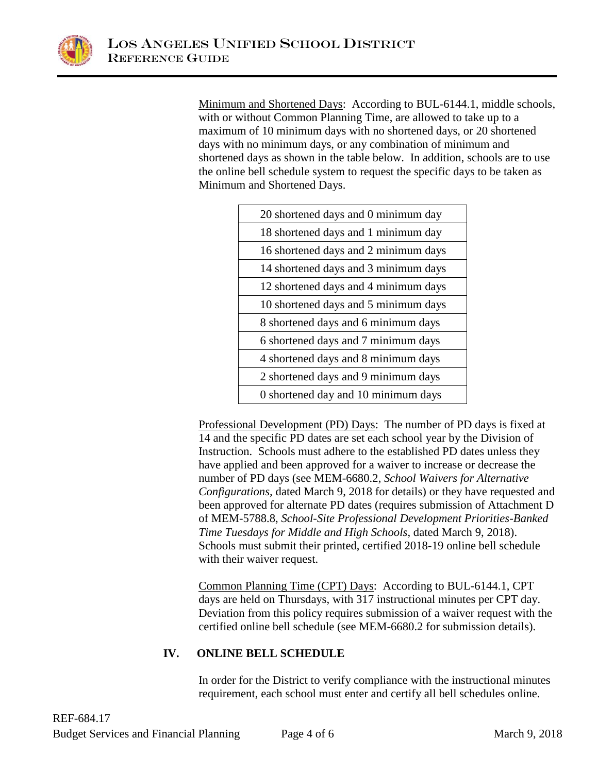

Minimum and Shortened Days: According to BUL-6144.1, middle schools, with or without Common Planning Time, are allowed to take up to a maximum of 10 minimum days with no shortened days, or 20 shortened days with no minimum days, or any combination of minimum and shortened days as shown in the table below. In addition, schools are to use the online bell schedule system to request the specific days to be taken as Minimum and Shortened Days.

| 20 shortened days and 0 minimum day  |
|--------------------------------------|
| 18 shortened days and 1 minimum day  |
| 16 shortened days and 2 minimum days |
| 14 shortened days and 3 minimum days |
| 12 shortened days and 4 minimum days |
| 10 shortened days and 5 minimum days |
| 8 shortened days and 6 minimum days  |
| 6 shortened days and 7 minimum days  |
| 4 shortened days and 8 minimum days  |
| 2 shortened days and 9 minimum days  |
| 0 shortened day and 10 minimum days  |

Professional Development (PD) Days: The number of PD days is fixed at 14 and the specific PD dates are set each school year by the Division of Instruction. Schools must adhere to the established PD dates unless they have applied and been approved for a waiver to increase or decrease the number of PD days (see MEM-6680.2, *School Waivers for Alternative Configurations,* dated March 9, 2018 for details) or they have requested and been approved for alternate PD dates (requires submission of Attachment D of MEM-5788.8, *School-Site Professional Development Priorities-Banked Time Tuesdays for Middle and High Schools*, dated March 9, 2018). Schools must submit their printed, certified 2018-19 online bell schedule with their waiver request.

Common Planning Time (CPT) Days: According to BUL-6144.1, CPT days are held on Thursdays, with 317 instructional minutes per CPT day. Deviation from this policy requires submission of a waiver request with the certified online bell schedule (see MEM-6680.2 for submission details).

# **IV. ONLINE BELL SCHEDULE**

In order for the District to verify compliance with the instructional minutes requirement, each school must enter and certify all bell schedules online.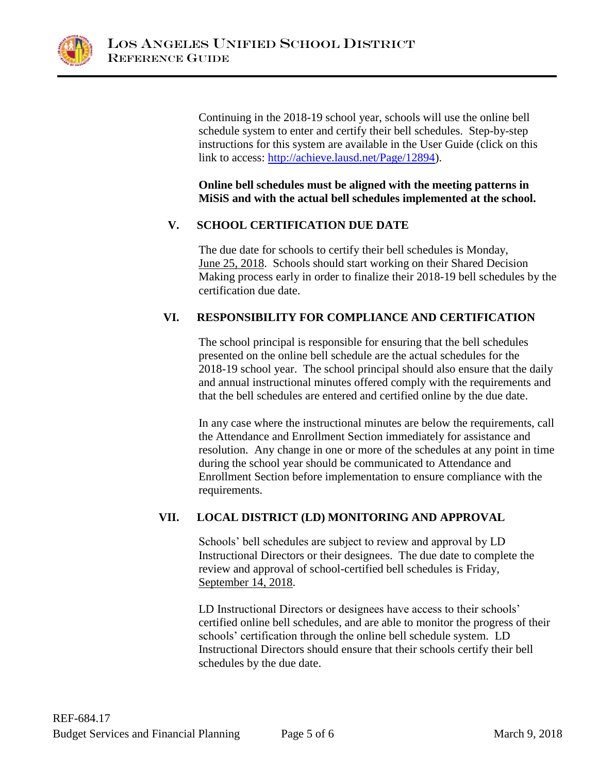

Continuing in the 2018-19 school year, schools will use the online bell schedule system to enter and certify their bell schedules. Step-by-step instructions for this system are available in the User Guide (click on this link to access: [http://achieve.lausd.net/Page/12894\)](http://achieve.lausd.net/Page/12894).

**Online bell schedules must be aligned with the meeting patterns in MiSiS and with the actual bell schedules implemented at the school.**

### **V. SCHOOL CERTIFICATION DUE DATE**

The due date for schools to certify their bell schedules is Monday, June 25, 2018. Schools should start working on their Shared Decision Making process early in order to finalize their 2018-19 bell schedules by the certification due date.

# **VI. RESPONSIBILITY FOR COMPLIANCE AND CERTIFICATION**

The school principal is responsible for ensuring that the bell schedules presented on the online bell schedule are the actual schedules for the 2018-19 school year. The school principal should also ensure that the daily and annual instructional minutes offered comply with the requirements and that the bell schedules are entered and certified online by the due date.

In any case where the instructional minutes are below the requirements, call the Attendance and Enrollment Section immediately for assistance and resolution. Any change in one or more of the schedules at any point in time during the school year should be communicated to Attendance and Enrollment Section before implementation to ensure compliance with the requirements.

# **VII. LOCAL DISTRICT (LD) MONITORING AND APPROVAL**

Schools' bell schedules are subject to review and approval by LD Instructional Directors or their designees. The due date to complete the review and approval of school-certified bell schedules is Friday, September 14, 2018.

LD Instructional Directors or designees have access to their schools' certified online bell schedules, and are able to monitor the progress of their schools' certification through the online bell schedule system. LD Instructional Directors should ensure that their schools certify their bell schedules by the due date.